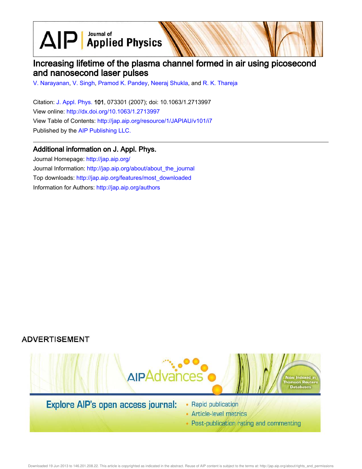$\text{AlP}$  Applied Physics

# Increasing lifetime of the plasma channel formed in air using picosecond and nanosecond laser pulses

V. Narayanan, V. Singh, Pramod K. Pandey, Neeraj Shukla, and R. K. Thareja

Citation: J. Appl. Phys. 101, 073301 (2007); doi: 10.1063/1.2713997 View online: http://dx.doi.org/10.1063/1.2713997 View Table of Contents: http://jap.aip.org/resource/1/JAPIAU/v101/i7 Published by the AIP Publishing LLC.

### Additional information on J. Appl. Phys.

Journal Homepage: http://jap.aip.org/ Journal Information: http://jap.aip.org/about/about\_the\_journal Top downloads: http://jap.aip.org/features/most\_downloaded Information for Authors: http://jap.aip.org/authors

# **ADVERTISEMENT**



• Post-publication rating and commenting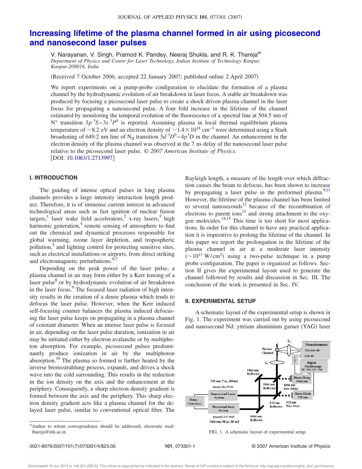# **Increasing lifetime of the plasma channel formed in air using picosecond and nanosecond laser pulses**

V. Narayanan, V. Singh, Pramod K. Pandey, Neeraj Shukla, and R. K. Thareja<sup>a)</sup> *Department of Physics and Centre for Laser Technology, Indian Institute of Technology Kanpur, Kanpur-208016, India*

Received 7 October 2006; accepted 22 January 2007; published online 2 April 2007-

We report experiments on a pump-probe configuration to elucidate the formation of a plasma channel by the hydrodynamic evolution of air breakdown in laser focus. A stable air breakdown was produced by focusing a picosecond laser pulse to create a shock driven plasma channel in the laser focus for propagating a nanosecond pulse. A four fold increase in the lifetime of the channel estimated by monitoring the temporal evolution of the fluorescence of a spectral line at 504.5 nm of N<sup>+</sup> transition 3*p*<sup>3</sup>S−3*s*<sup>3</sup>*P*<sup>0</sup> is reported. Assuming plasma in local thermal equilibrium plasma temperature of ~8.2 eV and an electron density of  $\sim 1.4 \times 10^{18}$  cm<sup>-3</sup> were determined using a Stark broadening of 649.2 nm line of N<sub>II</sub> transition  $3d<sup>3</sup>D<sup>0</sup>-4p<sup>3</sup>D$  in the channel. An enhancement in the electron density of the plasma channel was observed at the 7 ns delay of the nanosecond laser pulse relative to the picosecond laser pulse. © *2007 American Institute of Physics*. [DOI: 10.1063/1.2713997]

### **I. INTRODUCTION**

The guiding of intense optical pulses in long plasma channels provides a large intensity interaction length product. Therefore, it is of immense current interest in advanced technological areas such as fast ignition of nuclear fusion targets,<sup>1</sup> laser wake field accelerators,<sup>2</sup> x-ray lasers,<sup>3</sup> high harmonic generation,<sup>4</sup> remote sensing of atmosphere to find out the chemical and dynamical processes responsible for global warming, ozone layer depletion, and tropospheric pollution,<sup>5</sup> and lighting control for protecting sensitive sites, such as electrical installations or airports, from direct striking and electromagnetic perturbations.<sup>6,7</sup>

Depending on the peak power of the laser pulse, a plasma channel in air may form either by a Kerr lensing of a laser pulse<sup>8</sup> or by hydrodynamic evolution of air breakdown in the laser focus.<sup>9</sup> The focused laser radiation of high intensity results in the creation of a dense plasma which tends to defocus the laser pulse. However, when the Kerr induced self-focusing counter balances the plasma induced defocusing the laser pulse keeps on propagating in a plasma channel of constant diameter. When an intense laser pulse is focused in air, depending on the laser pulse duration, ionization in air may be initiated either by electron avalanche or by multiphoton absorption. For example, picosecond pulses predominantly produce ionization in air by the multiphoton absorption.<sup>10</sup> The plasma so formed is further heated by the inverse bremsstrahlung process, expands, and drives a shock wave into the cold surrounding. This results in the reduction in the ion density on the axis and the enhancement at the periphery. Consequently, a sharp electron density gradient is formed between the axis and the periphery. This sharp electron density gradient acts like a plasma channel for the delayed laser pulse, similar to conventional optical fiber. The Rayleigh length, a measure of the length over which diffraction causes the beam to defocus, has been shown to increase by propagating a laser pulse in the preformed plasma. $9,11$ However, the lifetime of the plasma channel has been limited to several nanoseconds<sup>12</sup> because of the recombination of electrons to parent ions $13$  and strong attachment to the oxygen molecules. $\frac{14,15}{10}$  This time is too short for most applications. In order for this channel to have any practical application it is imperative to prolong the lifetime of the channel. In this paper we report the prolongation in the lifetime of the plasma channel in air at a moderate laser intensity  $({\sim}10^{13} \text{ W/cm}^2)$  using a two-pulse technique in a pump probe configuration. The paper is organized as follows. Section II gives the experimental layout used to generate the channel followed by results and discussion in Sec. III. The conclusion of the work is presented in Sec. IV.

#### **II. EXPERIMENTAL SETUP**

A schematic layout of the experimental setup is shown in Fig. 1. The experiment was carried out by using picosecond and nanosecond Nd: yttrium aluminium garnet (YAG) laser



101, 073301-1 © 2007 American Institute of Physics

a)Author to whom correspondence should be addressed; electronic mail: thareja@iitk.ac.in FIG. 1. A schematic layout of experimental setup.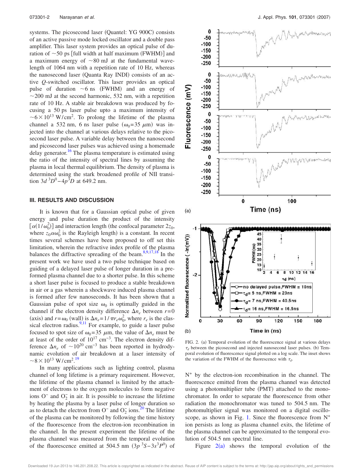systems. The picosecond laser (Quantel: YG 900C) consists of an active passive mode locked oscillator and a double pass amplifier. This laser system provides an optical pulse of duration of  $\sim$ 50 ps [full width at half maximum (FWHM)] and a maximum energy of  $\sim 80$  mJ at the fundamental wavelength of 1064 nm with a repetition rate of 10 Hz, whereas the nanosecond laser (Quanta Ray INDI) consists of an active *Q*-switched oscillator. This laser provides an optical pulse of duration  $\sim$ 6 ns (FWHM) and an energy of  $\sim$ 200 mJ at the second harmonic, 532 nm, with a repetition rate of 10 Hz. A stable air breakdown was produced by focusing a 50 ps laser pulse upto a maximum intensity of  $\sim 6 \times 10^{13}$  W/cm<sup>2</sup>. To prolong the lifetime of the plasma channel a 532 nm, 6 ns laser pulse  $(\omega_0=35 \mu m)$  was injected into the channel at various delays relative to the picosecond laser pulse. A variable delay between the nanosecond and picosecond laser pulses was achieved using a homemade delay generator.<sup>16</sup> The plasma temperature is estimated using the ratio of the intensity of spectral lines by assuming the plasma in local thermal equilibrium. The density of plasma is determined using the stark broadened profile of NII transition  $3d^{3}D^{0}-4p^{3}D$  at 649.2 nm.

#### **III. RESULTS AND DISCUSSION**

It is known that for a Gaussian optical pulse of given energy and pulse duration the product of the intensity  $\left[ \alpha(1/\omega_0^2) \right]$  and interaction length (the confocal parameter  $2z_0$ , where  $z_0 \alpha \omega_0^2$  is the Rayleigh length) is a constant. In recent times several schemes have been proposed to off set this limitation, wherein the refractive index profile of the plasma balances the diffractive spreading of the beam. $8,9,17,18$  In the present work we have used a two pulse technique based on guiding of a delayed laser pulse of longer duration in a preformed plasma channel due to a shorter pulse. In this scheme a short laser pulse is focused to produce a stable breakdown in air or a gas wherein a shockwave induced plasma channel is formed after few nanoseconds. It has been shown that a Gaussian pulse of spot size  $\omega_0$  is optimally guided in the channel if the electron density difference  $\Delta n_e$  between  $r=0$ (axis) and  $r = \omega_0$  (wall) is  $\Delta n_e = 1/\pi r_e \omega_0^2$ , where  $r_e$  is the classical electron radius.<sup>9,11</sup> For example, to guide a laser pulse focused to spot size of  $\omega_0 = 35 \mu m$ , the value of  $\Delta n_e$  must be at least of the order of  $10^{17}$  cm<sup>-3</sup>. The electron density difference  $\Delta n_e$  of  $\sim 10^{20}$  cm<sup>-3</sup> has been reported in hydrodynamic evolution of air breakdown at a laser intensity of  $\sim$ 8 × 10<sup>13</sup> W/cm<sup>2</sup>.<sup>19</sup>

In many applications such as lighting control, plasma channel of long lifetime is a primary requirement. However, the lifetime of the plasma channel is limited by the attachment of electrons to the oxygen molecules to form negative ions O<sup>-</sup> and  $O_2^-$  in air. It is possible to increase the lifetime by heating the plasma by a laser pulse of longer duration so as to detach the electron from O<sup>−</sup> and O<sub>2</sub> ions.<sup>20</sup> The lifetime of the plasma can be monitored by following the time history of the fluorescence from the electron-ion recombination in the channel. In the present experiment the lifetime of the plasma channel was measured from the temporal evolution of the fluorescence emitted at 504.5 nm  $(3p^3S - 3s^3P^0)$  of



FIG. 2. (a) Temporal evolution of the fluorescence signal at various delays  $\tau_d$  between the picosecond and injected nanosecond laser pulses. (b) Temporal evolution of fluorescence signal plotted on a log scale. The inset shows the variation of the FWHM of the fluorescence with  $\tau_d$ .

N <sup>+</sup> by the electron-ion recombination in the channel. The fluorescence emitted from the plasma channel was detected using a photomultiplier tube (PMT) attached to the monochromator. In order to separate the fluorescence from other radiation the monochromator was tuned to 504.5 nm. The photomultiplier signal was monitored on a digital oscilloscope, as shown in Fig. 1. Since the fluorescence from  $N^+$ ion persists as long as plasma channel exits, the lifetime of the plasma channel can be approximated to the temporal evolution of 504.5 nm spectral line.

Figure  $2(a)$  shows the temporal evolution of the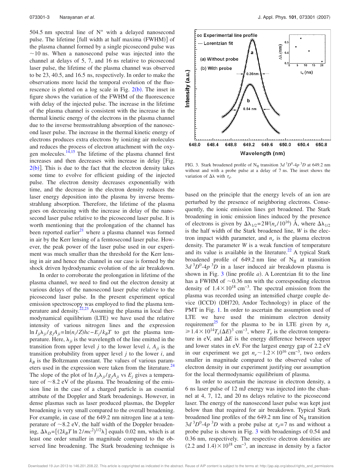504.5 nm spectral line of  $N^+$  with a delayed nanosecond pulse. The lifetime [full width at half maxima (FWHM)] of the plasma channel formed by a single picosecond pulse was  $\sim$ 10 ns. When a nanosecond pulse was injected into the channel at delays of 5, 7, and 16 ns relative to picosecond laser pulse, the lifetime of the plasma channel was observed to be 23, 40.5, and 16.5 ns, respectively. In order to make the observations more lucid the temporal evolution of the fluorescence is plotted on a log scale in Fig.  $2(b)$ . The inset in figure shows the variation of the FWHM of the fluorescence with delay of the injected pulse. The increase in the lifetime of the plasma channel is consistent with the increase in the thermal kinetic energy of the electrons in the plasma channel due to the inverse bremsstrahlung absorption of the nanosecond laser pulse. The increase in the thermal kinetic energy of electrons produces extra electrons by ionizing air molecules and reduces the process of electron attachment with the oxygen molecules. $14,15$  The lifetime of the plasma channel first increases and then decreases with increase in delay Fig.  $2(b)$ ]. This is due to the fact that the electron density takes some time to evolve for efficient guiding of the injected pulse. The electron density decreases exponentially with time, and the decrease in the electron density reduces the laser energy deposition into the plasma by inverse bremsstrahlung absorption. Therefore, the lifetime of the plasma goes on decreasing with the increase in delay of the nanosecond laser pulse relative to the picosecond laser pulse. It is worth mentioning that the prolongation of the channel has been reported earlier<sup>21</sup> where a plasma channel was formed in air by the Kerr lensing of a femtosecond laser pulse. However, the peak power of the laser pulse used in our experiment was much smaller than the threshold for the Kerr lensing in air and hence the channel in our case is formed by the shock driven hydrodynamic evolution of the air breakdown.

In order to corroborate the prolongation in lifetime of the plasma channel, we need to find out the electron density at various delays of the nanosecond laser pulse relative to the picosecond laser pulse. In the present experiment optical emission spectroscopy was employed to find the plasma temperature and density.<sup>22,23</sup> Assuming the plasma in local thermodynamical equilibrium (LTE) we have used the relative intensity of various nitrogen lines and the expression  $\ln I_{ji} \lambda_{ji} / g_j A_{ji} = \ln(n_i / Z)hc −E_j / k_B T$  to get the plasma temperature. Here,  $\lambda_{ii}$  is the wavelength of the line emitted in the transition from upper level *j* to the lower level *i*,  $A_{ii}$  is the transition probability from upper level *j* to the lower *i*, and  $k_B$  is the Boltzmann constant. The values of various parameters used in the expression were taken from the literature.<sup>24</sup> The slope of the plot of  $\ln I_{ii} \lambda_{ii} / g_i A_{ii}$  vs  $E_i$  gives a temperature of  $\sim$ 8.2 eV of the plasma. The broadening of the emission line in the case of a charged particle is an essential attribute of the Doppler and Stark broadenings. However, in dense plasmas such as laser produced plasmas, the Doppler broadening is very small compared to the overall broadening. For example, in case of the 649.2 nm nitrogen line at a temperature of  $\sim$ 8.2 eV, the half width of the Doppler broadening,  $\Delta\lambda_D = [(2k_B T \ln 2/mc^2)^{1/2}\lambda]$  equals 0.02 nm, which is at least one order smaller in magnitude compared to the observed line broadening. The Stark broadening technique is



FIG. 3. Stark broadened profile of  $N_{II}$  transition  $3d^{3}D^{0}$ -4 $p^{3}D$  at 649.2 nm without and with a probe pulse at a delay of 7 ns. The inset shows the variation of  $\Delta\lambda$  with  $\tau_d$ .

based on the principle that the energy levels of an ion are perturbed by the presence of neighboring electrons. Consequently, the ionic emission lines get broadened. The Stark broadening in ionic emission lines induced by the presence of electrons is given by  $\Delta\lambda_{1/2} = 2W(n_e/10^{16})$  Å, where  $\Delta\lambda_{1/2}$ is the half width of the Stark broadened line, *W* is the electron impact width parameter, and  $n_e$  is the plasma electron density. The parameter *W* is a weak function of temperature and its value is available in the literature.<sup>22</sup> A typical Stark broadened profile of 649.2 nm line of  $N_{II}$  at transition  $3d<sup>3</sup>D<sup>0</sup>$ -4*p*<sup>3</sup>*D* in a laser induced air breakdown plasma is shown in Fig.  $3$  (line profile  $a$ ). A Lorentzian fit to the line has a FWHM of  $\sim 0.36$  nm with the corresponding electron density of  $1.4 \times 10^{18}$  cm<sup>-3</sup>. The spectral emission from the plasma was recorded using an intensified charge couple device (ICCD) (DH720, Andor Technology) in place of the PMT in Fig. 1. In order to ascertain the assumption used of LTE we have used the minimum electron density requirement<sup>25</sup> for the plasma to be in LTE given by  $n_e$  $\geq$  1.4 × 10<sup>14</sup>*T*<sub>*e*</sub>(Δ*E*)<sup>3</sup> cm<sup>−3</sup>, where *T<sub>e</sub>* is the electron temperature in eV, and  $\Delta E$  is the energy difference between upper and lower states in eV. For the largest energy gap of 2.2 eV in our experiment we get  $n_e \sim 1.2 \times 10^{16}$  cm<sup>-3</sup>, two orders smaller in magnitude compared to the observed value of electron density in our experiment justifying our assumption for the local thermodynamic equilibrium of plasma.

In order to ascertain the increase in electron density, a 6 ns laser pulse of 12 mJ energy was injected into the channel at 4, 7, 12, and 20 ns delays relative to the picosecond laser. The energy of the nanosecond laser pulse was kept just below than that required for air breakdown. Typical Stark broadened line profiles of the 649.2 nm line of  $N_{II}$  transition  $3d^3D^0$ -4*p*<sup>3</sup>*D* with a probe pulse at  $\tau_d$ =7 ns and without a probe pulse is shown in Fig. 3 with broadenings of 0.54 and 0.36 nm, respectively. The respective electron densities are  $(2.2 \text{ and } 1.4) \times 10^{18} \text{ cm}^{-3}$ , an increase in density by a factor